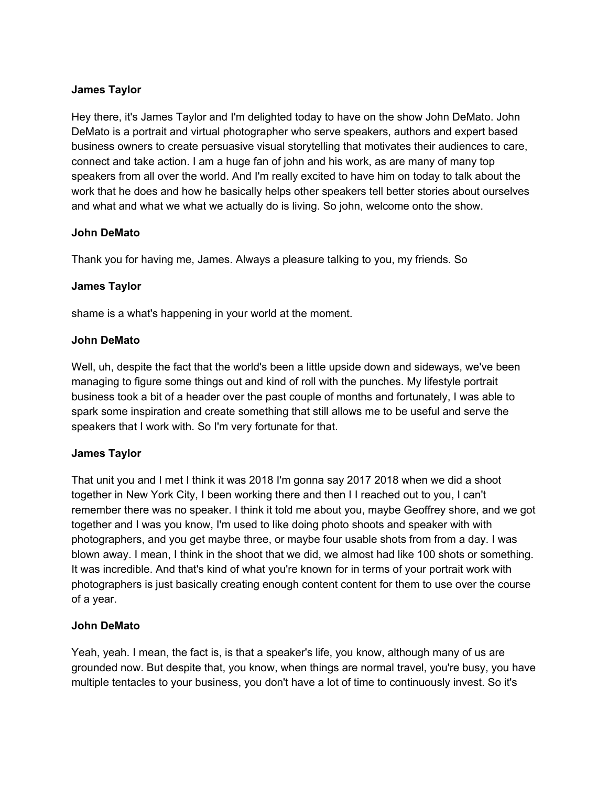## **James Taylor**

Hey there, it's James Taylor and I'm delighted today to have on the show John DeMato. John DeMato is a portrait and virtual photographer who serve speakers, authors and expert based business owners to create persuasive visual storytelling that motivates their audiences to care, connect and take action. I am a huge fan of john and his work, as are many of many top speakers from all over the world. And I'm really excited to have him on today to talk about the work that he does and how he basically helps other speakers tell better stories about ourselves and what and what we what we actually do is living. So john, welcome onto the show.

## **John DeMato**

Thank you for having me, James. Always a pleasure talking to you, my friends. So

## **James Taylor**

shame is a what's happening in your world at the moment.

## **John DeMato**

Well, uh, despite the fact that the world's been a little upside down and sideways, we've been managing to figure some things out and kind of roll with the punches. My lifestyle portrait business took a bit of a header over the past couple of months and fortunately, I was able to spark some inspiration and create something that still allows me to be useful and serve the speakers that I work with. So I'm very fortunate for that.

# **James Taylor**

That unit you and I met I think it was 2018 I'm gonna say 2017 2018 when we did a shoot together in New York City, I been working there and then I I reached out to you, I can't remember there was no speaker. I think it told me about you, maybe Geoffrey shore, and we got together and I was you know, I'm used to like doing photo shoots and speaker with with photographers, and you get maybe three, or maybe four usable shots from from a day. I was blown away. I mean, I think in the shoot that we did, we almost had like 100 shots or something. It was incredible. And that's kind of what you're known for in terms of your portrait work with photographers is just basically creating enough content content for them to use over the course of a year.

### **John DeMato**

Yeah, yeah. I mean, the fact is, is that a speaker's life, you know, although many of us are grounded now. But despite that, you know, when things are normal travel, you're busy, you have multiple tentacles to your business, you don't have a lot of time to continuously invest. So it's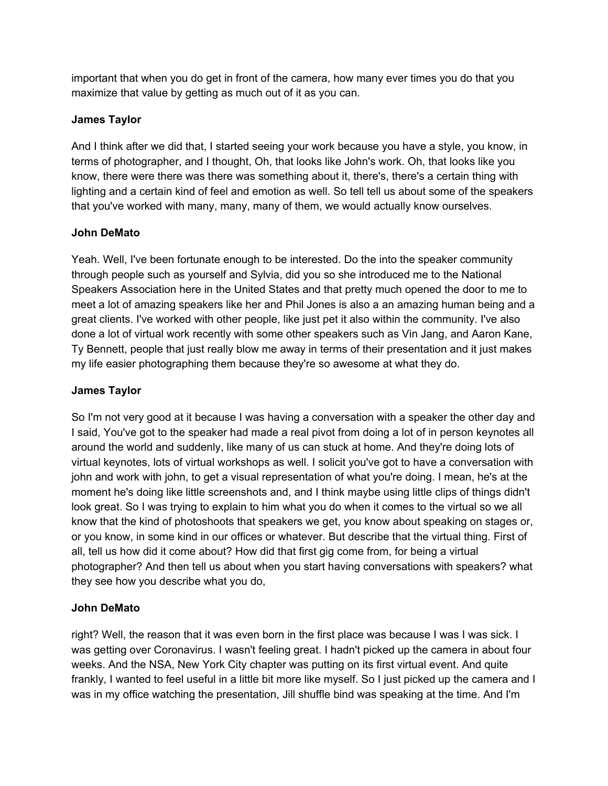important that when you do get in front of the camera, how many ever times you do that you maximize that value by getting as much out of it as you can.

# **James Taylor**

And I think after we did that, I started seeing your work because you have a style, you know, in terms of photographer, and I thought, Oh, that looks like John's work. Oh, that looks like you know, there were there was there was something about it, there's, there's a certain thing with lighting and a certain kind of feel and emotion as well. So tell tell us about some of the speakers that you've worked with many, many, many of them, we would actually know ourselves.

## **John DeMato**

Yeah. Well, I've been fortunate enough to be interested. Do the into the speaker community through people such as yourself and Sylvia, did you so she introduced me to the National Speakers Association here in the United States and that pretty much opened the door to me to meet a lot of amazing speakers like her and Phil Jones is also a an amazing human being and a great clients. I've worked with other people, like just pet it also within the community. I've also done a lot of virtual work recently with some other speakers such as Vin Jang, and Aaron Kane, Ty Bennett, people that just really blow me away in terms of their presentation and it just makes my life easier photographing them because they're so awesome at what they do.

## **James Taylor**

So I'm not very good at it because I was having a conversation with a speaker the other day and I said, You've got to the speaker had made a real pivot from doing a lot of in person keynotes all around the world and suddenly, like many of us can stuck at home. And they're doing lots of virtual keynotes, lots of virtual workshops as well. I solicit you've got to have a conversation with john and work with john, to get a visual representation of what you're doing. I mean, he's at the moment he's doing like little screenshots and, and I think maybe using little clips of things didn't look great. So I was trying to explain to him what you do when it comes to the virtual so we all know that the kind of photoshoots that speakers we get, you know about speaking on stages or, or you know, in some kind in our offices or whatever. But describe that the virtual thing. First of all, tell us how did it come about? How did that first gig come from, for being a virtual photographer? And then tell us about when you start having conversations with speakers? what they see how you describe what you do,

# **John DeMato**

right? Well, the reason that it was even born in the first place was because I was I was sick. I was getting over Coronavirus. I wasn't feeling great. I hadn't picked up the camera in about four weeks. And the NSA, New York City chapter was putting on its first virtual event. And quite frankly, I wanted to feel useful in a little bit more like myself. So I just picked up the camera and I was in my office watching the presentation, Jill shuffle bind was speaking at the time. And I'm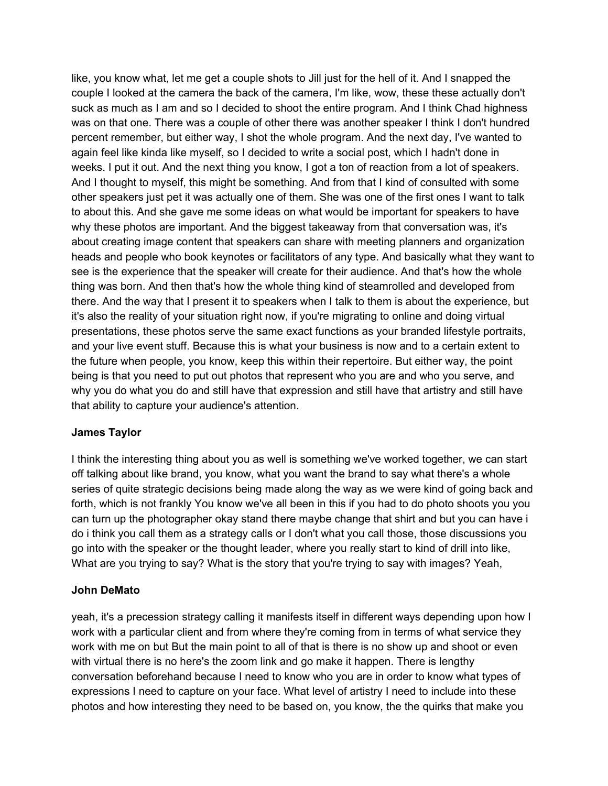like, you know what, let me get a couple shots to Jill just for the hell of it. And I snapped the couple I looked at the camera the back of the camera, I'm like, wow, these these actually don't suck as much as I am and so I decided to shoot the entire program. And I think Chad highness was on that one. There was a couple of other there was another speaker I think I don't hundred percent remember, but either way, I shot the whole program. And the next day, I've wanted to again feel like kinda like myself, so I decided to write a social post, which I hadn't done in weeks. I put it out. And the next thing you know, I got a ton of reaction from a lot of speakers. And I thought to myself, this might be something. And from that I kind of consulted with some other speakers just pet it was actually one of them. She was one of the first ones I want to talk to about this. And she gave me some ideas on what would be important for speakers to have why these photos are important. And the biggest takeaway from that conversation was, it's about creating image content that speakers can share with meeting planners and organization heads and people who book keynotes or facilitators of any type. And basically what they want to see is the experience that the speaker will create for their audience. And that's how the whole thing was born. And then that's how the whole thing kind of steamrolled and developed from there. And the way that I present it to speakers when I talk to them is about the experience, but it's also the reality of your situation right now, if you're migrating to online and doing virtual presentations, these photos serve the same exact functions as your branded lifestyle portraits, and your live event stuff. Because this is what your business is now and to a certain extent to the future when people, you know, keep this within their repertoire. But either way, the point being is that you need to put out photos that represent who you are and who you serve, and why you do what you do and still have that expression and still have that artistry and still have that ability to capture your audience's attention.

### **James Taylor**

I think the interesting thing about you as well is something we've worked together, we can start off talking about like brand, you know, what you want the brand to say what there's a whole series of quite strategic decisions being made along the way as we were kind of going back and forth, which is not frankly You know we've all been in this if you had to do photo shoots you you can turn up the photographer okay stand there maybe change that shirt and but you can have i do i think you call them as a strategy calls or I don't what you call those, those discussions you go into with the speaker or the thought leader, where you really start to kind of drill into like, What are you trying to say? What is the story that you're trying to say with images? Yeah,

### **John DeMato**

yeah, it's a precession strategy calling it manifests itself in different ways depending upon how I work with a particular client and from where they're coming from in terms of what service they work with me on but But the main point to all of that is there is no show up and shoot or even with virtual there is no here's the zoom link and go make it happen. There is lengthy conversation beforehand because I need to know who you are in order to know what types of expressions I need to capture on your face. What level of artistry I need to include into these photos and how interesting they need to be based on, you know, the the quirks that make you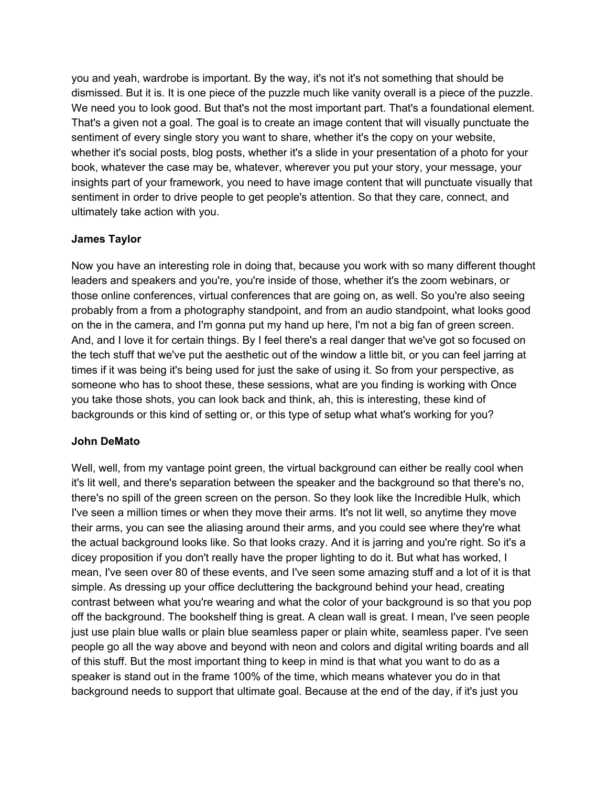you and yeah, wardrobe is important. By the way, it's not it's not something that should be dismissed. But it is. It is one piece of the puzzle much like vanity overall is a piece of the puzzle. We need you to look good. But that's not the most important part. That's a foundational element. That's a given not a goal. The goal is to create an image content that will visually punctuate the sentiment of every single story you want to share, whether it's the copy on your website, whether it's social posts, blog posts, whether it's a slide in your presentation of a photo for your book, whatever the case may be, whatever, wherever you put your story, your message, your insights part of your framework, you need to have image content that will punctuate visually that sentiment in order to drive people to get people's attention. So that they care, connect, and ultimately take action with you.

## **James Taylor**

Now you have an interesting role in doing that, because you work with so many different thought leaders and speakers and you're, you're inside of those, whether it's the zoom webinars, or those online conferences, virtual conferences that are going on, as well. So you're also seeing probably from a from a photography standpoint, and from an audio standpoint, what looks good on the in the camera, and I'm gonna put my hand up here, I'm not a big fan of green screen. And, and I love it for certain things. By I feel there's a real danger that we've got so focused on the tech stuff that we've put the aesthetic out of the window a little bit, or you can feel jarring at times if it was being it's being used for just the sake of using it. So from your perspective, as someone who has to shoot these, these sessions, what are you finding is working with Once you take those shots, you can look back and think, ah, this is interesting, these kind of backgrounds or this kind of setting or, or this type of setup what what's working for you?

# **John DeMato**

Well, well, from my vantage point green, the virtual background can either be really cool when it's lit well, and there's separation between the speaker and the background so that there's no, there's no spill of the green screen on the person. So they look like the Incredible Hulk, which I've seen a million times or when they move their arms. It's not lit well, so anytime they move their arms, you can see the aliasing around their arms, and you could see where they're what the actual background looks like. So that looks crazy. And it is jarring and you're right. So it's a dicey proposition if you don't really have the proper lighting to do it. But what has worked, I mean, I've seen over 80 of these events, and I've seen some amazing stuff and a lot of it is that simple. As dressing up your office decluttering the background behind your head, creating contrast between what you're wearing and what the color of your background is so that you pop off the background. The bookshelf thing is great. A clean wall is great. I mean, I've seen people just use plain blue walls or plain blue seamless paper or plain white, seamless paper. I've seen people go all the way above and beyond with neon and colors and digital writing boards and all of this stuff. But the most important thing to keep in mind is that what you want to do as a speaker is stand out in the frame 100% of the time, which means whatever you do in that background needs to support that ultimate goal. Because at the end of the day, if it's just you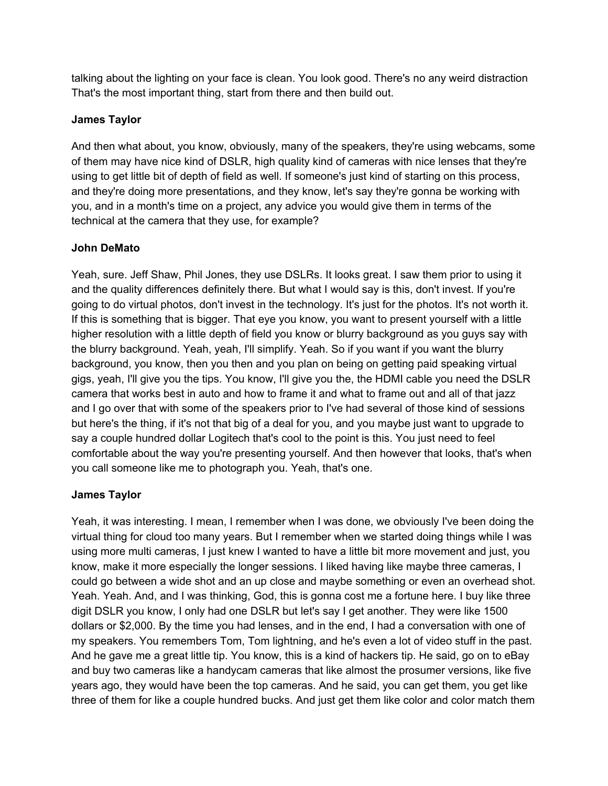talking about the lighting on your face is clean. You look good. There's no any weird distraction That's the most important thing, start from there and then build out.

# **James Taylor**

And then what about, you know, obviously, many of the speakers, they're using webcams, some of them may have nice kind of DSLR, high quality kind of cameras with nice lenses that they're using to get little bit of depth of field as well. If someone's just kind of starting on this process, and they're doing more presentations, and they know, let's say they're gonna be working with you, and in a month's time on a project, any advice you would give them in terms of the technical at the camera that they use, for example?

# **John DeMato**

Yeah, sure. Jeff Shaw, Phil Jones, they use DSLRs. It looks great. I saw them prior to using it and the quality differences definitely there. But what I would say is this, don't invest. If you're going to do virtual photos, don't invest in the technology. It's just for the photos. It's not worth it. If this is something that is bigger. That eye you know, you want to present yourself with a little higher resolution with a little depth of field you know or blurry background as you guys say with the blurry background. Yeah, yeah, I'll simplify. Yeah. So if you want if you want the blurry background, you know, then you then and you plan on being on getting paid speaking virtual gigs, yeah, I'll give you the tips. You know, I'll give you the, the HDMI cable you need the DSLR camera that works best in auto and how to frame it and what to frame out and all of that jazz and I go over that with some of the speakers prior to I've had several of those kind of sessions but here's the thing, if it's not that big of a deal for you, and you maybe just want to upgrade to say a couple hundred dollar Logitech that's cool to the point is this. You just need to feel comfortable about the way you're presenting yourself. And then however that looks, that's when you call someone like me to photograph you. Yeah, that's one.

# **James Taylor**

Yeah, it was interesting. I mean, I remember when I was done, we obviously I've been doing the virtual thing for cloud too many years. But I remember when we started doing things while I was using more multi cameras, I just knew I wanted to have a little bit more movement and just, you know, make it more especially the longer sessions. I liked having like maybe three cameras, I could go between a wide shot and an up close and maybe something or even an overhead shot. Yeah. Yeah. And, and I was thinking, God, this is gonna cost me a fortune here. I buy like three digit DSLR you know, I only had one DSLR but let's say I get another. They were like 1500 dollars or \$2,000. By the time you had lenses, and in the end, I had a conversation with one of my speakers. You remembers Tom, Tom lightning, and he's even a lot of video stuff in the past. And he gave me a great little tip. You know, this is a kind of hackers tip. He said, go on to eBay and buy two cameras like a handycam cameras that like almost the prosumer versions, like five years ago, they would have been the top cameras. And he said, you can get them, you get like three of them for like a couple hundred bucks. And just get them like color and color match them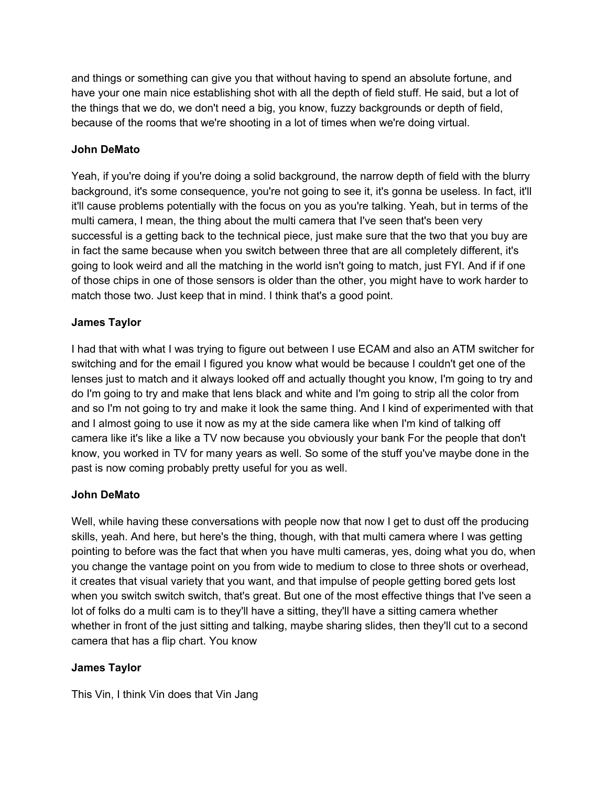and things or something can give you that without having to spend an absolute fortune, and have your one main nice establishing shot with all the depth of field stuff. He said, but a lot of the things that we do, we don't need a big, you know, fuzzy backgrounds or depth of field, because of the rooms that we're shooting in a lot of times when we're doing virtual.

# **John DeMato**

Yeah, if you're doing if you're doing a solid background, the narrow depth of field with the blurry background, it's some consequence, you're not going to see it, it's gonna be useless. In fact, it'll it'll cause problems potentially with the focus on you as you're talking. Yeah, but in terms of the multi camera, I mean, the thing about the multi camera that I've seen that's been very successful is a getting back to the technical piece, just make sure that the two that you buy are in fact the same because when you switch between three that are all completely different, it's going to look weird and all the matching in the world isn't going to match, just FYI. And if if one of those chips in one of those sensors is older than the other, you might have to work harder to match those two. Just keep that in mind. I think that's a good point.

# **James Taylor**

I had that with what I was trying to figure out between I use ECAM and also an ATM switcher for switching and for the email I figured you know what would be because I couldn't get one of the lenses just to match and it always looked off and actually thought you know, I'm going to try and do I'm going to try and make that lens black and white and I'm going to strip all the color from and so I'm not going to try and make it look the same thing. And I kind of experimented with that and I almost going to use it now as my at the side camera like when I'm kind of talking off camera like it's like a like a TV now because you obviously your bank For the people that don't know, you worked in TV for many years as well. So some of the stuff you've maybe done in the past is now coming probably pretty useful for you as well.

# **John DeMato**

Well, while having these conversations with people now that now I get to dust off the producing skills, yeah. And here, but here's the thing, though, with that multi camera where I was getting pointing to before was the fact that when you have multi cameras, yes, doing what you do, when you change the vantage point on you from wide to medium to close to three shots or overhead, it creates that visual variety that you want, and that impulse of people getting bored gets lost when you switch switch switch, that's great. But one of the most effective things that I've seen a lot of folks do a multi cam is to they'll have a sitting, they'll have a sitting camera whether whether in front of the just sitting and talking, maybe sharing slides, then they'll cut to a second camera that has a flip chart. You know

# **James Taylor**

This Vin, I think Vin does that Vin Jang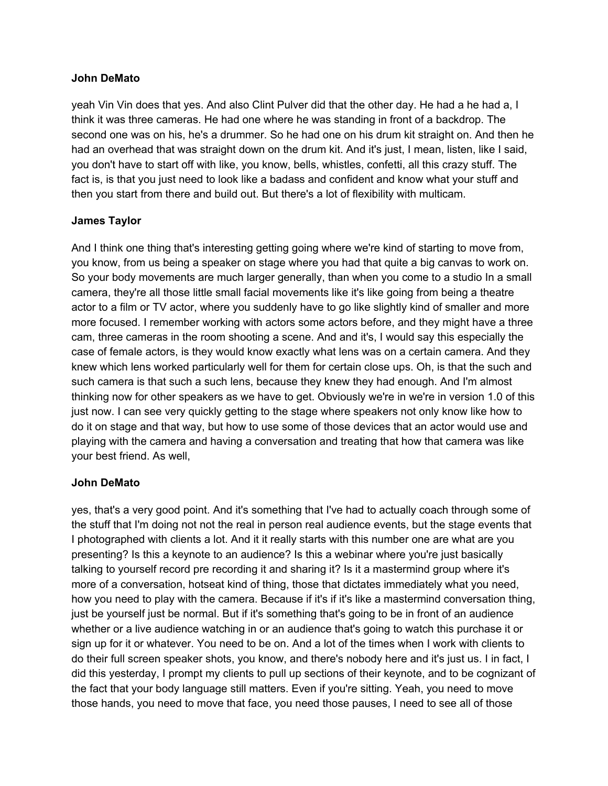### **John DeMato**

yeah Vin Vin does that yes. And also Clint Pulver did that the other day. He had a he had a, I think it was three cameras. He had one where he was standing in front of a backdrop. The second one was on his, he's a drummer. So he had one on his drum kit straight on. And then he had an overhead that was straight down on the drum kit. And it's just, I mean, listen, like I said, you don't have to start off with like, you know, bells, whistles, confetti, all this crazy stuff. The fact is, is that you just need to look like a badass and confident and know what your stuff and then you start from there and build out. But there's a lot of flexibility with multicam.

## **James Taylor**

And I think one thing that's interesting getting going where we're kind of starting to move from, you know, from us being a speaker on stage where you had that quite a big canvas to work on. So your body movements are much larger generally, than when you come to a studio In a small camera, they're all those little small facial movements like it's like going from being a theatre actor to a film or TV actor, where you suddenly have to go like slightly kind of smaller and more more focused. I remember working with actors some actors before, and they might have a three cam, three cameras in the room shooting a scene. And and it's, I would say this especially the case of female actors, is they would know exactly what lens was on a certain camera. And they knew which lens worked particularly well for them for certain close ups. Oh, is that the such and such camera is that such a such lens, because they knew they had enough. And I'm almost thinking now for other speakers as we have to get. Obviously we're in we're in version 1.0 of this just now. I can see very quickly getting to the stage where speakers not only know like how to do it on stage and that way, but how to use some of those devices that an actor would use and playing with the camera and having a conversation and treating that how that camera was like your best friend. As well,

### **John DeMato**

yes, that's a very good point. And it's something that I've had to actually coach through some of the stuff that I'm doing not not the real in person real audience events, but the stage events that I photographed with clients a lot. And it it really starts with this number one are what are you presenting? Is this a keynote to an audience? Is this a webinar where you're just basically talking to yourself record pre recording it and sharing it? Is it a mastermind group where it's more of a conversation, hotseat kind of thing, those that dictates immediately what you need, how you need to play with the camera. Because if it's if it's like a mastermind conversation thing, just be yourself just be normal. But if it's something that's going to be in front of an audience whether or a live audience watching in or an audience that's going to watch this purchase it or sign up for it or whatever. You need to be on. And a lot of the times when I work with clients to do their full screen speaker shots, you know, and there's nobody here and it's just us. I in fact, I did this yesterday, I prompt my clients to pull up sections of their keynote, and to be cognizant of the fact that your body language still matters. Even if you're sitting. Yeah, you need to move those hands, you need to move that face, you need those pauses, I need to see all of those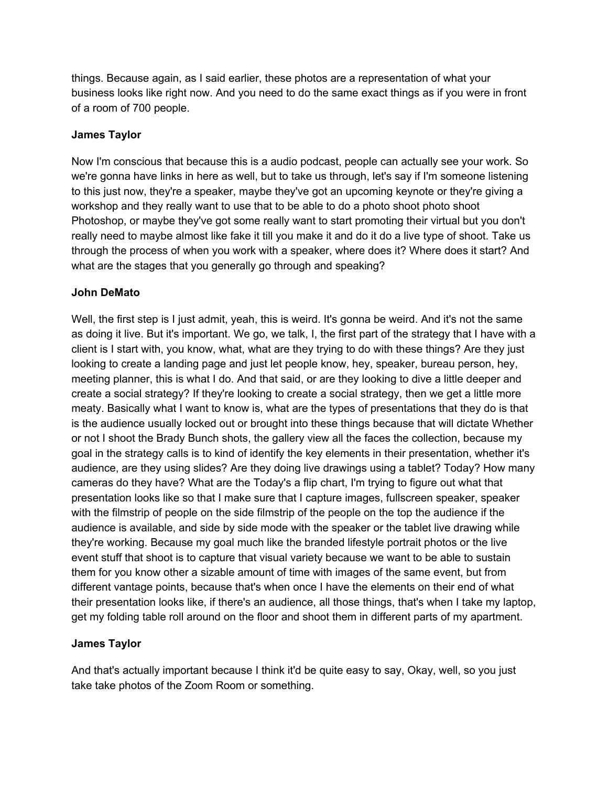things. Because again, as I said earlier, these photos are a representation of what your business looks like right now. And you need to do the same exact things as if you were in front of a room of 700 people.

## **James Taylor**

Now I'm conscious that because this is a audio podcast, people can actually see your work. So we're gonna have links in here as well, but to take us through, let's say if I'm someone listening to this just now, they're a speaker, maybe they've got an upcoming keynote or they're giving a workshop and they really want to use that to be able to do a photo shoot photo shoot Photoshop, or maybe they've got some really want to start promoting their virtual but you don't really need to maybe almost like fake it till you make it and do it do a live type of shoot. Take us through the process of when you work with a speaker, where does it? Where does it start? And what are the stages that you generally go through and speaking?

## **John DeMato**

Well, the first step is I just admit, yeah, this is weird. It's gonna be weird. And it's not the same as doing it live. But it's important. We go, we talk, I, the first part of the strategy that I have with a client is I start with, you know, what, what are they trying to do with these things? Are they just looking to create a landing page and just let people know, hey, speaker, bureau person, hey, meeting planner, this is what I do. And that said, or are they looking to dive a little deeper and create a social strategy? If they're looking to create a social strategy, then we get a little more meaty. Basically what I want to know is, what are the types of presentations that they do is that is the audience usually locked out or brought into these things because that will dictate Whether or not I shoot the Brady Bunch shots, the gallery view all the faces the collection, because my goal in the strategy calls is to kind of identify the key elements in their presentation, whether it's audience, are they using slides? Are they doing live drawings using a tablet? Today? How many cameras do they have? What are the Today's a flip chart, I'm trying to figure out what that presentation looks like so that I make sure that I capture images, fullscreen speaker, speaker with the filmstrip of people on the side filmstrip of the people on the top the audience if the audience is available, and side by side mode with the speaker or the tablet live drawing while they're working. Because my goal much like the branded lifestyle portrait photos or the live event stuff that shoot is to capture that visual variety because we want to be able to sustain them for you know other a sizable amount of time with images of the same event, but from different vantage points, because that's when once I have the elements on their end of what their presentation looks like, if there's an audience, all those things, that's when I take my laptop, get my folding table roll around on the floor and shoot them in different parts of my apartment.

### **James Taylor**

And that's actually important because I think it'd be quite easy to say, Okay, well, so you just take take photos of the Zoom Room or something.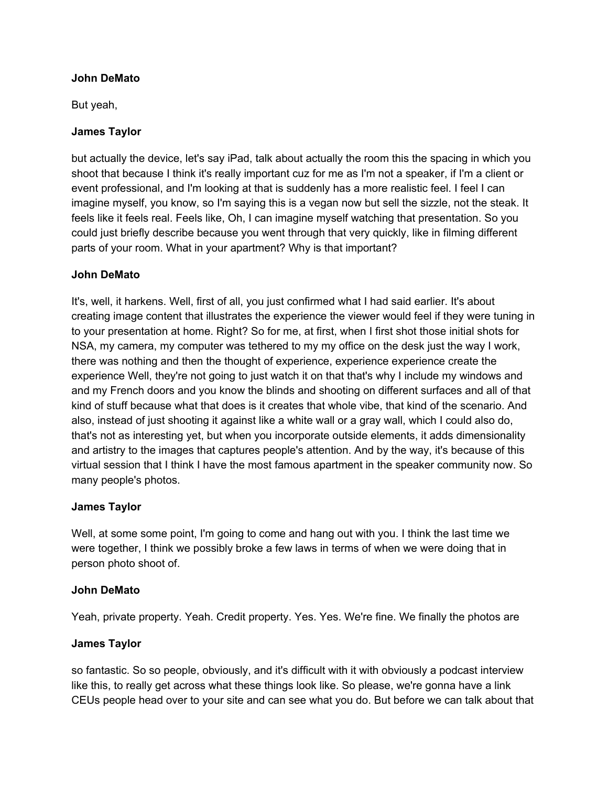## **John DeMato**

But yeah,

## **James Taylor**

but actually the device, let's say iPad, talk about actually the room this the spacing in which you shoot that because I think it's really important cuz for me as I'm not a speaker, if I'm a client or event professional, and I'm looking at that is suddenly has a more realistic feel. I feel I can imagine myself, you know, so I'm saying this is a vegan now but sell the sizzle, not the steak. It feels like it feels real. Feels like, Oh, I can imagine myself watching that presentation. So you could just briefly describe because you went through that very quickly, like in filming different parts of your room. What in your apartment? Why is that important?

## **John DeMato**

It's, well, it harkens. Well, first of all, you just confirmed what I had said earlier. It's about creating image content that illustrates the experience the viewer would feel if they were tuning in to your presentation at home. Right? So for me, at first, when I first shot those initial shots for NSA, my camera, my computer was tethered to my my office on the desk just the way I work, there was nothing and then the thought of experience, experience experience create the experience Well, they're not going to just watch it on that that's why I include my windows and and my French doors and you know the blinds and shooting on different surfaces and all of that kind of stuff because what that does is it creates that whole vibe, that kind of the scenario. And also, instead of just shooting it against like a white wall or a gray wall, which I could also do, that's not as interesting yet, but when you incorporate outside elements, it adds dimensionality and artistry to the images that captures people's attention. And by the way, it's because of this virtual session that I think I have the most famous apartment in the speaker community now. So many people's photos.

### **James Taylor**

Well, at some some point, I'm going to come and hang out with you. I think the last time we were together, I think we possibly broke a few laws in terms of when we were doing that in person photo shoot of.

### **John DeMato**

Yeah, private property. Yeah. Credit property. Yes. Yes. We're fine. We finally the photos are

### **James Taylor**

so fantastic. So so people, obviously, and it's difficult with it with obviously a podcast interview like this, to really get across what these things look like. So please, we're gonna have a link CEUs people head over to your site and can see what you do. But before we can talk about that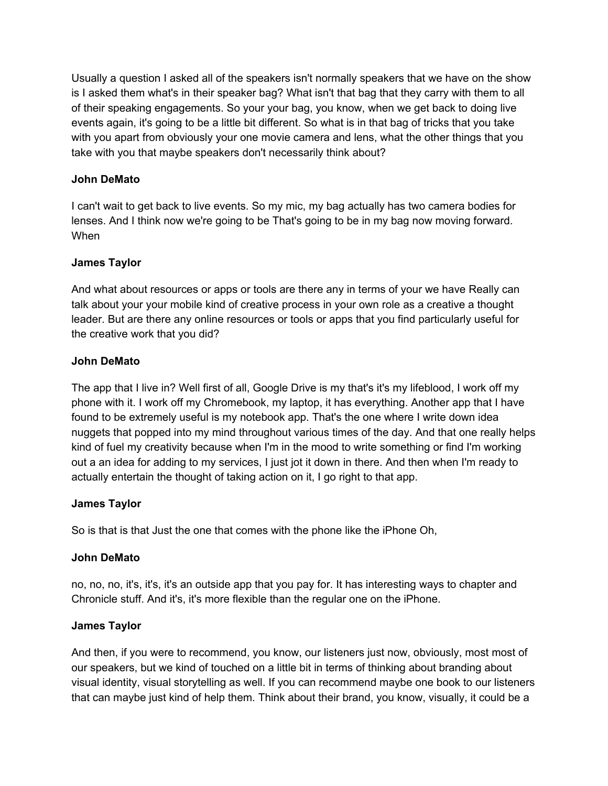Usually a question I asked all of the speakers isn't normally speakers that we have on the show is I asked them what's in their speaker bag? What isn't that bag that they carry with them to all of their speaking engagements. So your your bag, you know, when we get back to doing live events again, it's going to be a little bit different. So what is in that bag of tricks that you take with you apart from obviously your one movie camera and lens, what the other things that you take with you that maybe speakers don't necessarily think about?

# **John DeMato**

I can't wait to get back to live events. So my mic, my bag actually has two camera bodies for lenses. And I think now we're going to be That's going to be in my bag now moving forward. When

# **James Taylor**

And what about resources or apps or tools are there any in terms of your we have Really can talk about your your mobile kind of creative process in your own role as a creative a thought leader. But are there any online resources or tools or apps that you find particularly useful for the creative work that you did?

# **John DeMato**

The app that I live in? Well first of all, Google Drive is my that's it's my lifeblood, I work off my phone with it. I work off my Chromebook, my laptop, it has everything. Another app that I have found to be extremely useful is my notebook app. That's the one where I write down idea nuggets that popped into my mind throughout various times of the day. And that one really helps kind of fuel my creativity because when I'm in the mood to write something or find I'm working out a an idea for adding to my services, I just jot it down in there. And then when I'm ready to actually entertain the thought of taking action on it, I go right to that app.

# **James Taylor**

So is that is that Just the one that comes with the phone like the iPhone Oh,

# **John DeMato**

no, no, no, it's, it's, it's an outside app that you pay for. It has interesting ways to chapter and Chronicle stuff. And it's, it's more flexible than the regular one on the iPhone.

# **James Taylor**

And then, if you were to recommend, you know, our listeners just now, obviously, most most of our speakers, but we kind of touched on a little bit in terms of thinking about branding about visual identity, visual storytelling as well. If you can recommend maybe one book to our listeners that can maybe just kind of help them. Think about their brand, you know, visually, it could be a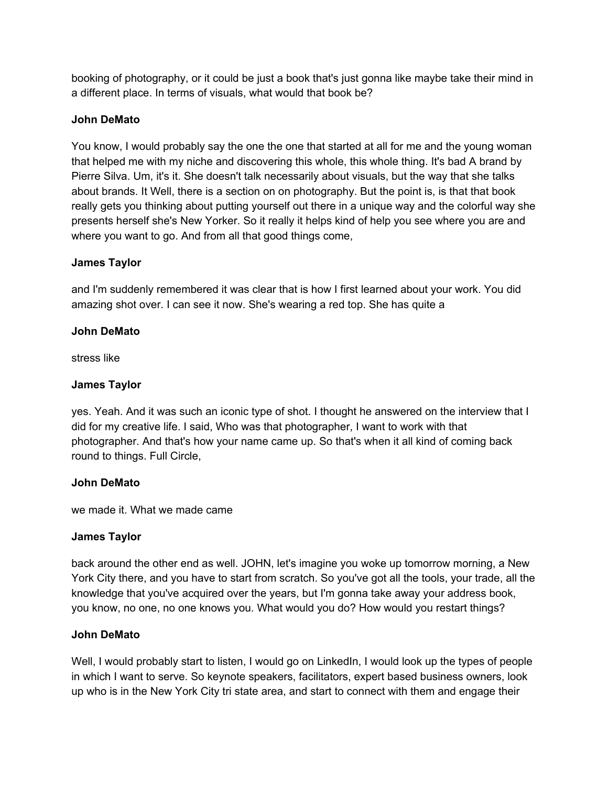booking of photography, or it could be just a book that's just gonna like maybe take their mind in a different place. In terms of visuals, what would that book be?

## **John DeMato**

You know, I would probably say the one the one that started at all for me and the young woman that helped me with my niche and discovering this whole, this whole thing. It's bad A brand by Pierre Silva. Um, it's it. She doesn't talk necessarily about visuals, but the way that she talks about brands. It Well, there is a section on on photography. But the point is, is that that book really gets you thinking about putting yourself out there in a unique way and the colorful way she presents herself she's New Yorker. So it really it helps kind of help you see where you are and where you want to go. And from all that good things come,

### **James Taylor**

and I'm suddenly remembered it was clear that is how I first learned about your work. You did amazing shot over. I can see it now. She's wearing a red top. She has quite a

## **John DeMato**

stress like

# **James Taylor**

yes. Yeah. And it was such an iconic type of shot. I thought he answered on the interview that I did for my creative life. I said, Who was that photographer, I want to work with that photographer. And that's how your name came up. So that's when it all kind of coming back round to things. Full Circle,

# **John DeMato**

we made it. What we made came

### **James Taylor**

back around the other end as well. JOHN, let's imagine you woke up tomorrow morning, a New York City there, and you have to start from scratch. So you've got all the tools, your trade, all the knowledge that you've acquired over the years, but I'm gonna take away your address book, you know, no one, no one knows you. What would you do? How would you restart things?

### **John DeMato**

Well, I would probably start to listen, I would go on LinkedIn, I would look up the types of people in which I want to serve. So keynote speakers, facilitators, expert based business owners, look up who is in the New York City tri state area, and start to connect with them and engage their